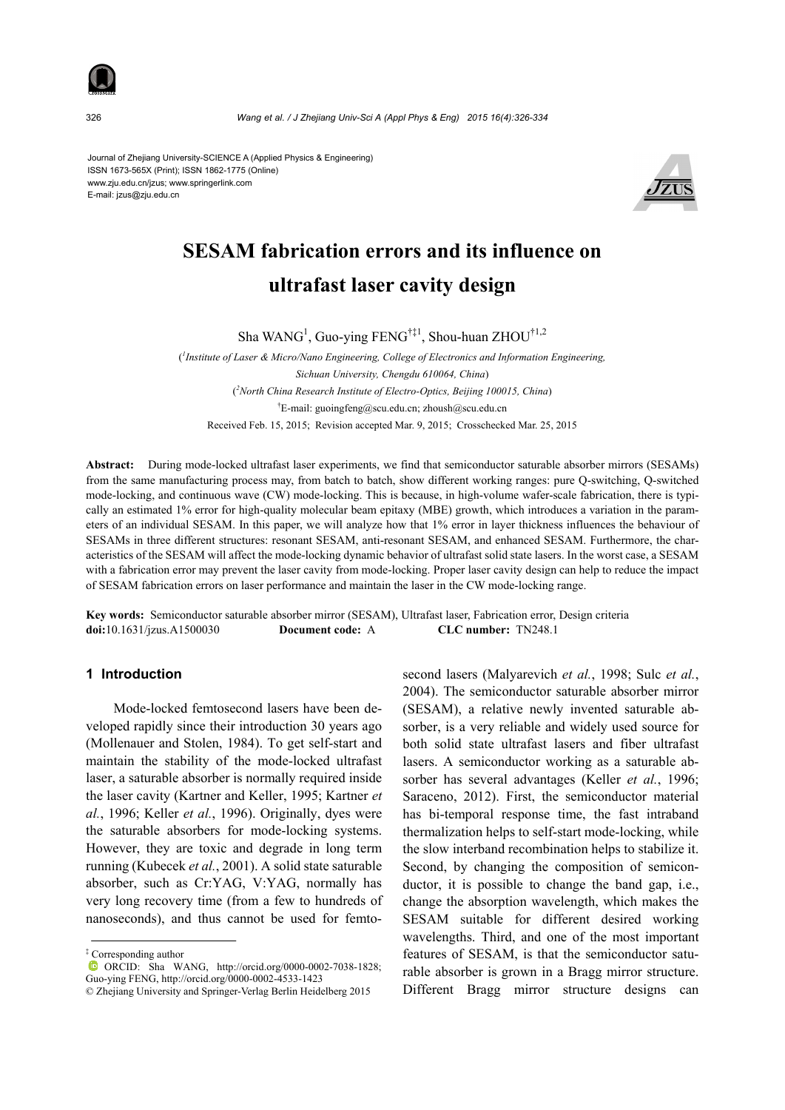

Journal of Zhejiang University-SCIENCE A (Applied Physics & Engineering) ISSN 1673-565X (Print); ISSN 1862-1775 (Online) www.zju.edu.cn/jzus; www.springerlink.com E-mail: jzus@zju.edu.cn



# **SESAM fabrication errors and its influence on ultrafast laser cavity design**

Sha WANG<sup>1</sup>, Guo-ying FENG<sup>†‡1</sup>, Shou-huan ZHOU<sup>†1,2</sup>

( *1 Institute of Laser & Micro/Nano Engineering, College of Electronics and Information Engineering, Sichuan University, Chengdu 610064, China*) ( *2 North China Research Institute of Electro-Optics, Beijing 100015, China*) † E-mail: guoingfeng@scu.edu.cn; zhoush@scu.edu.cn Received Feb. 15, 2015; Revision accepted Mar. 9, 2015; Crosschecked Mar. 25, 2015

**Abstract:** During mode-locked ultrafast laser experiments, we find that semiconductor saturable absorber mirrors (SESAMs) from the same manufacturing process may, from batch to batch, show different working ranges: pure Q-switching, Q-switched mode-locking, and continuous wave (CW) mode-locking. This is because, in high-volume wafer-scale fabrication, there is typically an estimated 1% error for high-quality molecular beam epitaxy (MBE) growth, which introduces a variation in the parameters of an individual SESAM. In this paper, we will analyze how that 1% error in layer thickness influences the behaviour of SESAMs in three different structures: resonant SESAM, anti-resonant SESAM, and enhanced SESAM. Furthermore, the characteristics of the SESAM will affect the mode-locking dynamic behavior of ultrafast solid state lasers. In the worst case, a SESAM with a fabrication error may prevent the laser cavity from mode-locking. Proper laser cavity design can help to reduce the impact of SESAM fabrication errors on laser performance and maintain the laser in the CW mode-locking range.

**Key words:** Semiconductor saturable absorber mirror (SESAM), Ultrafast laser, Fabrication error, Design criteria **doi:**10.1631/jzus.A1500030 **Document code:** A **CLC number:** TN248.1

## **1 Introduction**

Mode-locked femtosecond lasers have been developed rapidly since their introduction 30 years ago (Mollenauer and Stolen, 1984). To get self-start and maintain the stability of the mode-locked ultrafast laser, a saturable absorber is normally required inside the laser cavity (Kartner and Keller, 1995; Kartner *et al.*, 1996; Keller *et al.*, 1996). Originally, dyes were the saturable absorbers for mode-locking systems. However, they are toxic and degrade in long term running (Kubecek *et al.*, 2001). A solid state saturable absorber, such as Cr:YAG, V:YAG, normally has very long recovery time (from a few to hundreds of nanoseconds), and thus cannot be used for femtosecond lasers (Malyarevich *et al.*, 1998; Sulc *et al.*, 2004). The semiconductor saturable absorber mirror (SESAM), a relative newly invented saturable absorber, is a very reliable and widely used source for both solid state ultrafast lasers and fiber ultrafast lasers. A semiconductor working as a saturable absorber has several advantages (Keller *et al.*, 1996; Saraceno, 2012). First, the semiconductor material has bi-temporal response time, the fast intraband thermalization helps to self-start mode-locking, while the slow interband recombination helps to stabilize it. Second, by changing the composition of semiconductor, it is possible to change the band gap, i.e., change the absorption wavelength, which makes the SESAM suitable for different desired working wavelengths. Third, and one of the most important features of SESAM, is that the semiconductor saturable absorber is grown in a Bragg mirror structure. Different Bragg mirror structure designs can

<sup>‡</sup> Corresponding author

ORCID: Sha WANG, http://orcid.org/0000-0002-7038-1828; Guo-ying FENG, http://orcid.org/0000-0002-4533-1423

<sup>©</sup> Zhejiang University and Springer-Verlag Berlin Heidelberg 2015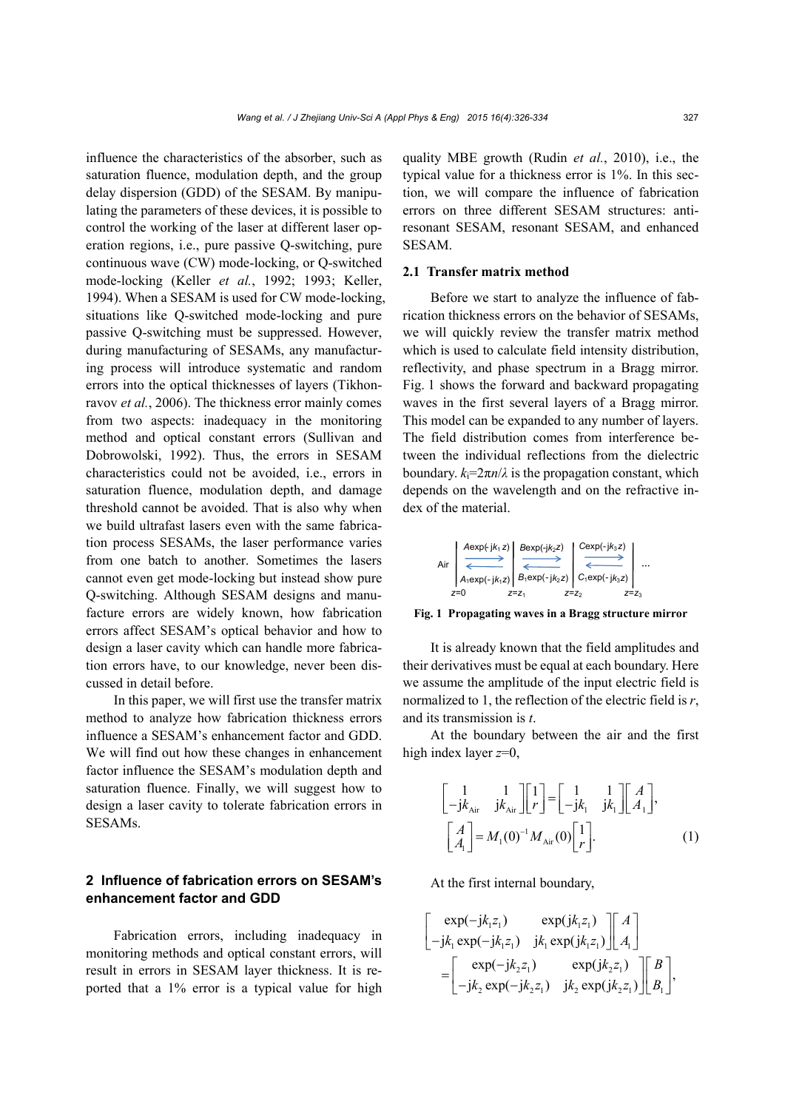influence the characteristics of the absorber, such as saturation fluence, modulation depth, and the group delay dispersion (GDD) of the SESAM. By manipulating the parameters of these devices, it is possible to control the working of the laser at different laser operation regions, i.e., pure passive Q-switching, pure continuous wave (CW) mode-locking, or Q-switched mode-locking (Keller *et al.*, 1992; 1993; Keller, 1994). When a SESAM is used for CW mode-locking, situations like Q-switched mode-locking and pure passive Q-switching must be suppressed. However, during manufacturing of SESAMs, any manufacturing process will introduce systematic and random errors into the optical thicknesses of layers (Tikhonravov *et al.*, 2006). The thickness error mainly comes from two aspects: inadequacy in the monitoring method and optical constant errors (Sullivan and Dobrowolski, 1992). Thus, the errors in SESAM characteristics could not be avoided, i.e., errors in saturation fluence, modulation depth, and damage threshold cannot be avoided. That is also why when we build ultrafast lasers even with the same fabrication process SESAMs, the laser performance varies from one batch to another. Sometimes the lasers cannot even get mode-locking but instead show pure Q-switching. Although SESAM designs and manufacture errors are widely known, how fabrication errors affect SESAM's optical behavior and how to design a laser cavity which can handle more fabrication errors have, to our knowledge, never been discussed in detail before.

In this paper, we will first use the transfer matrix method to analyze how fabrication thickness errors influence a SESAM's enhancement factor and GDD. We will find out how these changes in enhancement factor influence the SESAM's modulation depth and saturation fluence. Finally, we will suggest how to design a laser cavity to tolerate fabrication errors in SESAMs.

## **2 Influence of fabrication errors on SESAM's enhancement factor and GDD**

Fabrication errors, including inadequacy in monitoring methods and optical constant errors, will result in errors in SESAM layer thickness. It is reported that a 1% error is a typical value for high quality MBE growth (Rudin *et al.*, 2010), i.e., the typical value for a thickness error is 1%. In this section, we will compare the influence of fabrication errors on three different SESAM structures: antiresonant SESAM, resonant SESAM, and enhanced SESAM.

## **2.1 Transfer matrix method**

Before we start to analyze the influence of fabrication thickness errors on the behavior of SESAMs, we will quickly review the transfer matrix method which is used to calculate field intensity distribution, reflectivity, and phase spectrum in a Bragg mirror. Fig. 1 shows the forward and backward propagating waves in the first several layers of a Bragg mirror. This model can be expanded to any number of layers. The field distribution comes from interference between the individual reflections from the dielectric boundary.  $k = 2\pi n/\lambda$  is the propagation constant, which depends on the wavelength and on the refractive index of the material.



**Fig. 1 Propagating waves in a Bragg structure mirror**

It is already known that the field amplitudes and their derivatives must be equal at each boundary. Here we assume the amplitude of the input electric field is normalized to 1, the reflection of the electric field is *r*, and its transmission is *t*.

At the boundary between the air and the first high index layer *z*=0,

$$
\begin{bmatrix} 1 & 1 \ -jk_{\text{Air}} & jk_{\text{Air}} \end{bmatrix} \begin{bmatrix} 1 \ r \end{bmatrix} = \begin{bmatrix} 1 & 1 \ -jk_1 & jk_1 \end{bmatrix} \begin{bmatrix} A \ A_1 \end{bmatrix},
$$

$$
\begin{bmatrix} A \ A_1 \end{bmatrix} = M_1(0)^{-1} M_{\text{Air}}(0) \begin{bmatrix} 1 \ r \end{bmatrix}.
$$
 (1)

At the first internal boundary,

$$
\begin{bmatrix}\n\exp(-jk_1z_1) & \exp(jk_1z_1) \\
-jk_1 \exp(-jk_1z_1) & jk_1 \exp(jk_1z_1)\n\end{bmatrix}\n\begin{bmatrix}\nA \\
A_1\n\end{bmatrix}
$$
\n
$$
= \begin{bmatrix}\n\exp(-jk_2z_1) & \exp(jk_2z_1) \\
-jk_2 \exp(-jk_2z_1) & jk_2 \exp(jk_2z_1)\n\end{bmatrix}\n\begin{bmatrix}\nB \\
B_1\n\end{bmatrix},
$$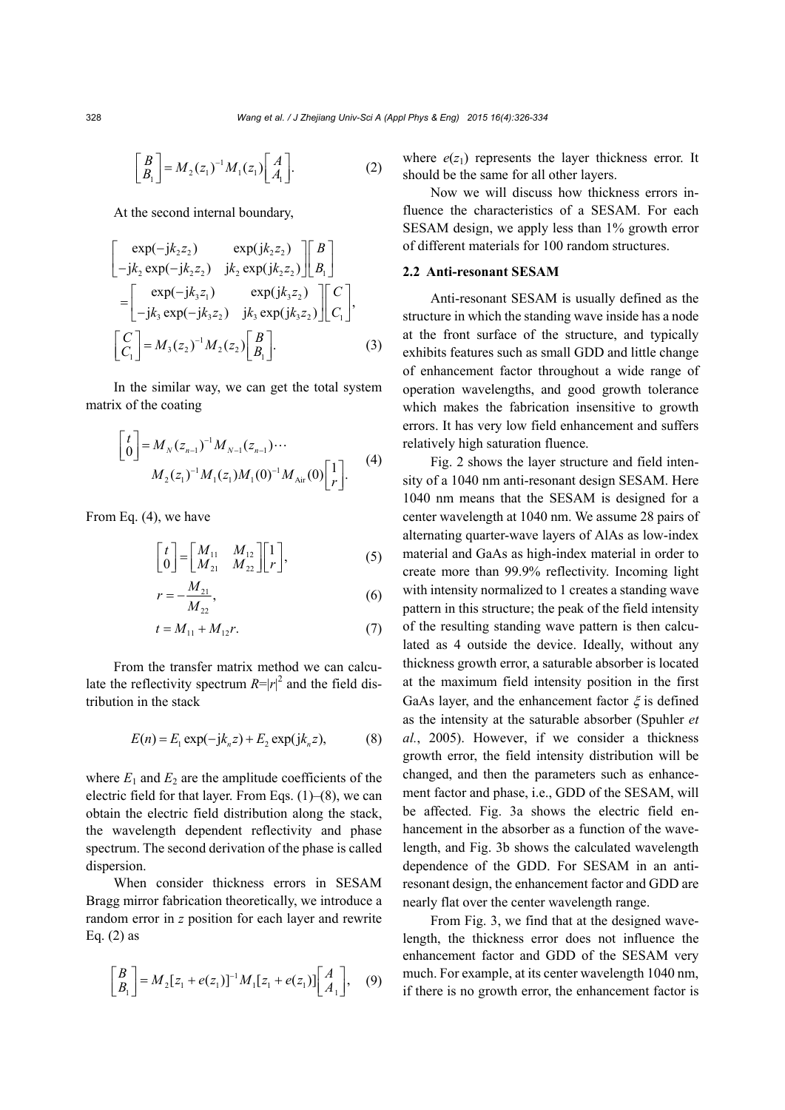$$
\begin{bmatrix} B \\ B_1 \end{bmatrix} = M_2(z_1)^{-1} M_1(z_1) \begin{bmatrix} A \\ A_1 \end{bmatrix}.
$$
 (2)

At the second internal boundary,

$$
\begin{bmatrix}\n\exp(-jk_2 z_2) & \exp(jk_2 z_2) \\
-jk_2 \exp(-jk_2 z_2) & jk_2 \exp(jk_2 z_2)\n\end{bmatrix}\n\begin{bmatrix}\nB \\
B_1\n\end{bmatrix}
$$
\n
$$
= \begin{bmatrix}\n\exp(-jk_3 z_1) & \exp(jk_3 z_2) \\
-jk_3 \exp(-jk_3 z_2) & jk_3 \exp(jk_3 z_2)\n\end{bmatrix}\n\begin{bmatrix}\nC \\
C_1\n\end{bmatrix},
$$
\n
$$
\begin{bmatrix}\nC \\
C_1\n\end{bmatrix} = M_3(z_2)^{-1} M_2(z_2) \begin{bmatrix}\nB \\
B_1\n\end{bmatrix}.
$$
\n(3)

In the similar way, we can get the total system matrix of the coating

$$
\begin{bmatrix} t \\ 0 \end{bmatrix} = M_N (z_{n-1})^{-1} M_{N-1} (z_{n-1}) \cdots
$$
  

$$
M_2 (z_1)^{-1} M_1 (z_1) M_1 (0)^{-1} M_{\text{Air}} (0) \begin{bmatrix} 1 \\ r \end{bmatrix}.
$$
 (4)

From Eq. (4), we have

$$
\begin{bmatrix} t \\ 0 \end{bmatrix} = \begin{bmatrix} M_{11} & M_{12} \\ M_{21} & M_{22} \end{bmatrix} \begin{bmatrix} 1 \\ r \end{bmatrix},
$$
 (5)

$$
r = -\frac{M_{21}}{M_{22}},\tag{6}
$$

$$
t = M_{11} + M_{12}r.
$$
 (7)

From the transfer matrix method we can calculate the reflectivity spectrum  $R=|r|^2$  and the field distribution in the stack

$$
E(n) = E_1 \exp(-j k_n z) + E_2 \exp(j k_n z),
$$
 (8)

where  $E_1$  and  $E_2$  are the amplitude coefficients of the electric field for that layer. From Eqs. (1)–(8), we can obtain the electric field distribution along the stack, the wavelength dependent reflectivity and phase spectrum. The second derivation of the phase is called dispersion.

When consider thickness errors in SESAM Bragg mirror fabrication theoretically, we introduce a random error in *z* position for each layer and rewrite Eq. (2) as

$$
\begin{bmatrix} B \\ B_1 \end{bmatrix} = M_2 [z_1 + e(z_1)]^{-1} M_1 [z_1 + e(z_1)] \begin{bmatrix} A \\ A_1 \end{bmatrix}, \quad (9)
$$

where  $e(z_1)$  represents the layer thickness error. It should be the same for all other layers.

Now we will discuss how thickness errors influence the characteristics of a SESAM. For each SESAM design, we apply less than 1% growth error of different materials for 100 random structures.

#### **2.2 Anti-resonant SESAM**

Anti-resonant SESAM is usually defined as the structure in which the standing wave inside has a node at the front surface of the structure, and typically exhibits features such as small GDD and little change of enhancement factor throughout a wide range of operation wavelengths, and good growth tolerance which makes the fabrication insensitive to growth errors. It has very low field enhancement and suffers relatively high saturation fluence.

Fig. 2 shows the layer structure and field intensity of a 1040 nm anti-resonant design SESAM. Here 1040 nm means that the SESAM is designed for a center wavelength at 1040 nm. We assume 28 pairs of alternating quarter-wave layers of AlAs as low-index material and GaAs as high-index material in order to create more than 99.9% reflectivity. Incoming light with intensity normalized to 1 creates a standing wave pattern in this structure; the peak of the field intensity of the resulting standing wave pattern is then calculated as 4 outside the device. Ideally, without any thickness growth error, a saturable absorber is located at the maximum field intensity position in the first GaAs layer, and the enhancement factor  $\xi$  is defined as the intensity at the saturable absorber (Spuhler *et al.*, 2005). However, if we consider a thickness growth error, the field intensity distribution will be changed, and then the parameters such as enhancement factor and phase, i.e., GDD of the SESAM, will be affected. Fig. 3a shows the electric field enhancement in the absorber as a function of the wavelength, and Fig. 3b shows the calculated wavelength dependence of the GDD. For SESAM in an antiresonant design, the enhancement factor and GDD are nearly flat over the center wavelength range.

From Fig. 3, we find that at the designed wavelength, the thickness error does not influence the enhancement factor and GDD of the SESAM very much. For example, at its center wavelength 1040 nm, if there is no growth error, the enhancement factor is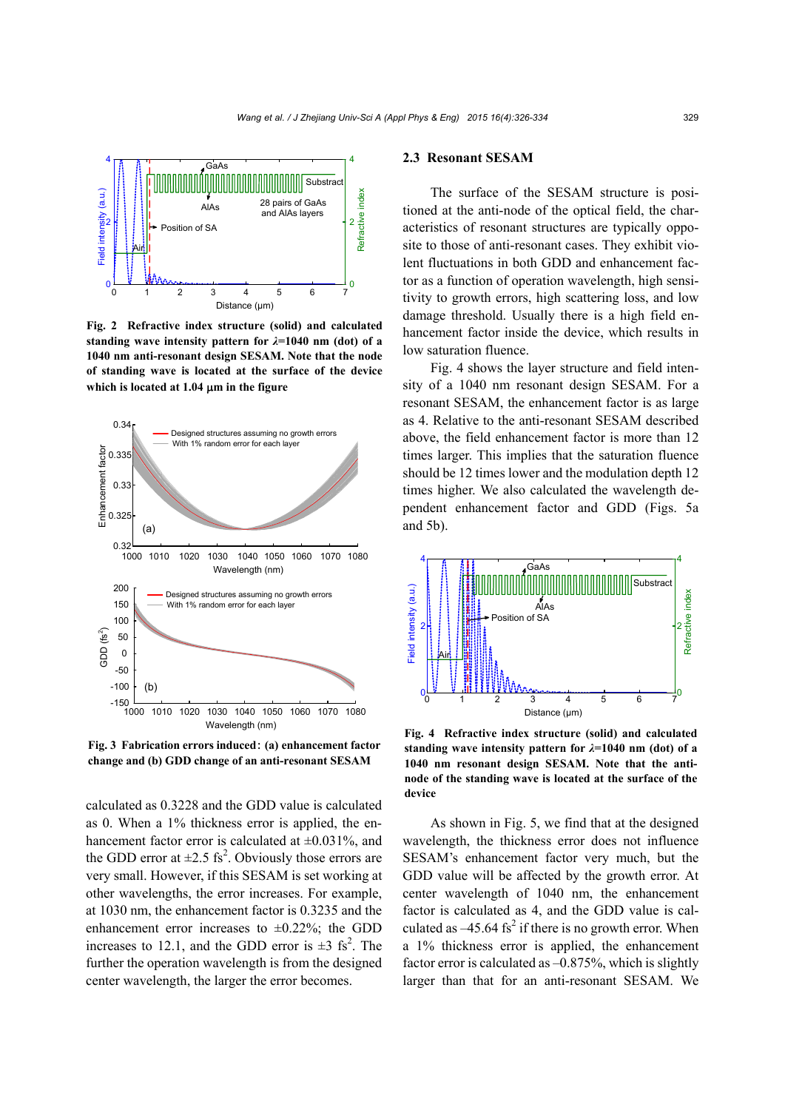

**Fig. 2 Refractive index structure (solid) and calculated standing wave intensity pattern for** *λ***=1040 nm (dot) of a 1040 nm anti-resonant design SESAM. Note that the node of standing wave is located at the surface of the device which is located at 1.04 m in the figure** 



**Fig. 3 Fabrication errors induced**: **(a) enhancement factor change and (b) GDD change of an anti-resonant SESAM**

calculated as 0.3228 and the GDD value is calculated as 0. When a 1% thickness error is applied, the enhancement factor error is calculated at  $\pm 0.031\%$ , and the GDD error at  $\pm 2.5$  fs<sup>2</sup>. Obviously those errors are very small. However, if this SESAM is set working at other wavelengths, the error increases. For example, at 1030 nm, the enhancement factor is 0.3235 and the enhancement error increases to  $\pm 0.22\%$ ; the GDD increases to 12.1, and the GDD error is  $\pm 3$  fs<sup>2</sup>. The further the operation wavelength is from the designed center wavelength, the larger the error becomes.

#### **2.3 Resonant SESAM**

The surface of the SESAM structure is positioned at the anti-node of the optical field, the characteristics of resonant structures are typically opposite to those of anti-resonant cases. They exhibit violent fluctuations in both GDD and enhancement factor as a function of operation wavelength, high sensitivity to growth errors, high scattering loss, and low damage threshold. Usually there is a high field enhancement factor inside the device, which results in low saturation fluence.

Fig. 4 shows the layer structure and field intensity of a 1040 nm resonant design SESAM. For a resonant SESAM, the enhancement factor is as large as 4. Relative to the anti-resonant SESAM described above, the field enhancement factor is more than 12 times larger. This implies that the saturation fluence should be 12 times lower and the modulation depth 12 times higher. We also calculated the wavelength dependent enhancement factor and GDD (Figs. 5a and 5b).



**Fig. 4 Refractive index structure (solid) and calculated standing wave intensity pattern for** *λ***=1040 nm (dot) of a 1040 nm resonant design SESAM. Note that the antinode of the standing wave is located at the surface of the device**

As shown in Fig. 5, we find that at the designed wavelength, the thickness error does not influence SESAM's enhancement factor very much, but the GDD value will be affected by the growth error. At center wavelength of 1040 nm, the enhancement factor is calculated as 4, and the GDD value is calculated as  $-45.64$  fs<sup>2</sup> if there is no growth error. When a 1% thickness error is applied, the enhancement factor error is calculated as –0.875%, which is slightly larger than that for an anti-resonant SESAM. We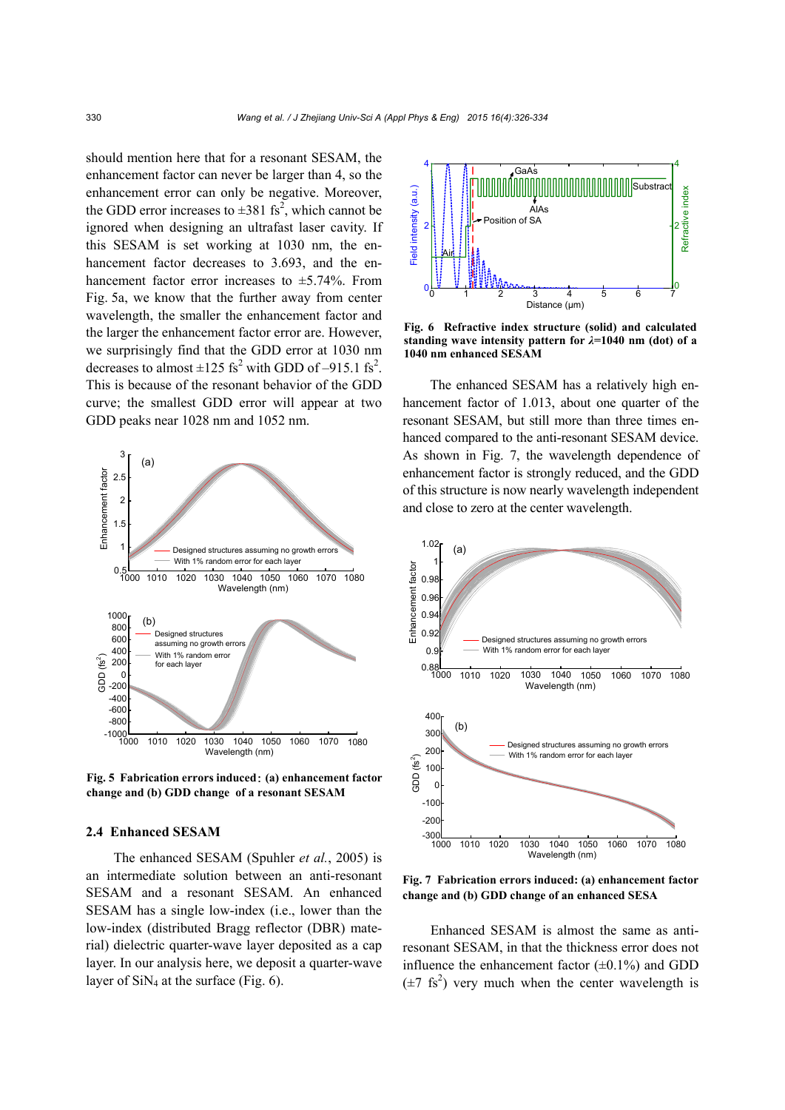should mention here that for a resonant SESAM, the enhancement factor can never be larger than 4, so the enhancement error can only be negative. Moreover, the GDD error increases to  $\pm 381$  fs<sup>2</sup>, which cannot be ignored when designing an ultrafast laser cavity. If this SESAM is set working at 1030 nm, the enhancement factor decreases to 3.693, and the enhancement factor error increases to ±5.74%. From Fig. 5a, we know that the further away from center wavelength, the smaller the enhancement factor and the larger the enhancement factor error are. However, we surprisingly find that the GDD error at 1030 nm decreases to almost  $\pm 125$  fs<sup>2</sup> with GDD of -915.1 fs<sup>2</sup>. This is because of the resonant behavior of the GDD curve; the smallest GDD error will appear at two GDD peaks near 1028 nm and 1052 nm.



**Fig. 5 Fabrication errors induced**: **(a) enhancement factor change and (b) GDD change of a resonant SESAM**

## **2.4 Enhanced SESAM**

The enhanced SESAM (Spuhler *et al.*, 2005) is an intermediate solution between an anti-resonant SESAM and a resonant SESAM. An enhanced SESAM has a single low-index (i.e., lower than the low-index (distributed Bragg reflector (DBR) material) dielectric quarter-wave layer deposited as a cap layer. In our analysis here, we deposit a quarter-wave layer of  $\sin A_4$  at the surface (Fig. 6).



**Fig. 6 Refractive index structure (solid) and calculated standing wave intensity pattern for** *λ***=1040 nm (dot) of a 1040 nm enhanced SESAM**

The enhanced SESAM has a relatively high enhancement factor of 1.013, about one quarter of the resonant SESAM, but still more than three times enhanced compared to the anti-resonant SESAM device. As shown in Fig. 7, the wavelength dependence of enhancement factor is strongly reduced, and the GDD of this structure is now nearly wavelength independent and close to zero at the center wavelength.



**Fig. 7 Fabrication errors induced: (a) enhancement factor change and (b) GDD change of an enhanced SESA**

Enhanced SESAM is almost the same as antiresonant SESAM, in that the thickness error does not influence the enhancement factor  $(\pm 0.1\%)$  and GDD  $(\pm 7 \text{ fs}^2)$  very much when the center wavelength is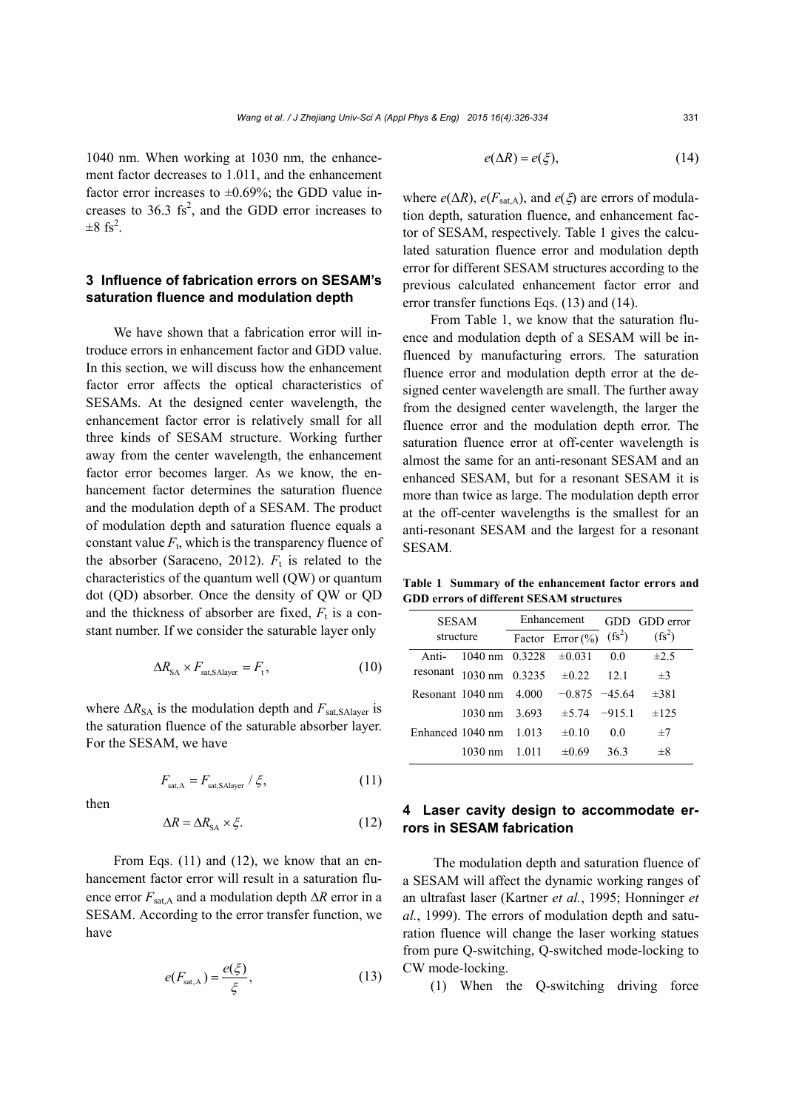1040 nm. When working at 1030 nm, the enhancement factor decreases to 1.011, and the enhancement factor error increases to  $\pm 0.69\%$ ; the GDD value increases to  $36.3 \text{ fs}^2$ , and the GDD error increases to  $\pm 8$  fs<sup>2</sup>.

## **3 Influence of fabrication errors on SESAM's saturation fluence and modulation depth**

We have shown that a fabrication error will introduce errors in enhancement factor and GDD value. In this section, we will discuss how the enhancement factor error affects the optical characteristics of SESAMs. At the designed center wavelength, the enhancement factor error is relatively small for all three kinds of SESAM structure. Working further away from the center wavelength, the enhancement factor error becomes larger. As we know, the enhancement factor determines the saturation fluence and the modulation depth of a SESAM. The product of modulation depth and saturation fluence equals a constant value  $F_t$ , which is the transparency fluence of the absorber (Saraceno, 2012).  $F_t$  is related to the characteristics of the quantum well (QW) or quantum dot (QD) absorber. Once the density of QW or QD and the thickness of absorber are fixed,  $F_t$  is a constant number. If we consider the saturable layer only

$$
\Delta R_{SA} \times F_{\text{sat,SAlayer}} = F_{t},\tag{10}
$$

where  $\Delta R_{SA}$  is the modulation depth and  $F_{sat,SAlaver}$  is the saturation fluence of the saturable absorber layer. For the SESAM, we have

$$
F_{\text{sat,A}} = F_{\text{sat,SAlayer}} / \xi,\tag{11}
$$

then

$$
\Delta R = \Delta R_{SA} \times \xi. \tag{12}
$$

From Eqs. (11) and (12), we know that an enhancement factor error will result in a saturation fluence error  $F_{\text{sat,A}}$  and a modulation depth  $\Delta R$  error in a SESAM. According to the error transfer function, we have

$$
e(F_{\text{sat,A}}) = \frac{e(\xi)}{\xi},\tag{13}
$$

$$
e(\Delta R) = e(\xi),\tag{14}
$$

where  $e(\Delta R)$ ,  $e(F_{\text{sat,A}})$ , and  $e(\xi)$  are errors of modulation depth, saturation fluence, and enhancement factor of SESAM, respectively. Table 1 gives the calculated saturation fluence error and modulation depth error for different SESAM structures according to the previous calculated enhancement factor error and error transfer functions Eqs. (13) and (14).

From Table 1, we know that the saturation fluence and modulation depth of a SESAM will be influenced by manufacturing errors. The saturation fluence error and modulation depth error at the designed center wavelength are small. The further away from the designed center wavelength, the larger the fluence error and the modulation depth error. The saturation fluence error at off-center wavelength is almost the same for an anti-resonant SESAM and an enhanced SESAM, but for a resonant SESAM it is more than twice as large. The modulation depth error at the off-center wavelengths is the smallest for an anti-resonant SESAM and the largest for a resonant SESAM.

**Table 1 Summary of the enhancement factor errors and GDD errors of different SESAM structures** 

| <b>SESAM</b>                     |                   | Enhancement |                     | GDD.           | GDD error |
|----------------------------------|-------------------|-------------|---------------------|----------------|-----------|
| structure                        |                   |             | Factor Error $(\%)$ | $(fs^2)$       | $(f_s^2)$ |
| Anti-                            | 1040 nm 0.3228    |             | $\pm 0.031$         | 0 <sub>0</sub> | $\pm 2.5$ |
| resonant                         | 1030 nm 0.3235    |             | $\pm 0.22$          | 12.1           | $\pm 3$   |
| Resonant $1040 \text{ nm}$ 4.000 |                   |             | $-0.875$ $-45.64$   |                | $\pm 381$ |
|                                  | 1030 nm 3.693     |             | $\pm 5.74$ -915.1   |                | $\pm 125$ |
| Enhanced 1040 nm                 |                   | 1 0 1 3     | $\pm 0.10$          | 0 <sub>0</sub> | $\pm 7$   |
|                                  | $1030 \text{ nm}$ | 1 011       | $\pm 0.69$          | 363            | $\pm 8$   |

## **4 Laser cavity design to accommodate errors in SESAM fabrication**

 The modulation depth and saturation fluence of a SESAM will affect the dynamic working ranges of an ultrafast laser (Kartner *et al.*, 1995; Honninger *et al.*, 1999). The errors of modulation depth and saturation fluence will change the laser working statues from pure Q-switching, Q-switched mode-locking to CW mode-locking.

(1) When the Q-switching driving force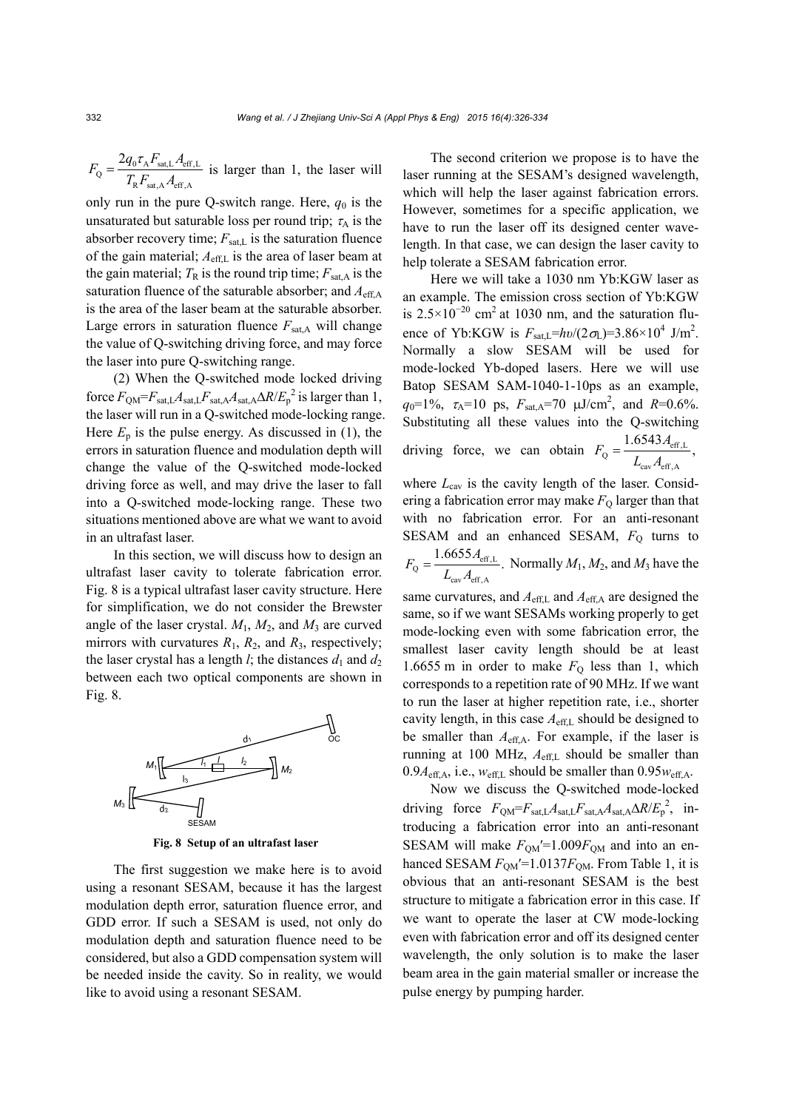$$
F_{\rm Q} = \frac{2q_{\rm 0}\tau_{\rm A}F_{\rm sat,L}A_{\rm eff,L}}{T_{\rm R}F_{\rm sat,A}A_{\rm eff,A}}
$$
 is larger than 1, the laser will

only run in the pure Q-switch range. Here,  $q_0$  is the unsaturated but saturable loss per round trip;  $\tau_A$  is the absorber recovery time;  $F_{\text{sat}}$  is the saturation fluence of the gain material;  $A_{\text{eff,L}}$  is the area of laser beam at the gain material;  $T_R$  is the round trip time;  $F_{\text{sat,A}}$  is the saturation fluence of the saturable absorber; and  $A_{\text{eff A}}$ is the area of the laser beam at the saturable absorber. Large errors in saturation fluence  $F_{\text{sat,A}}$  will change the value of Q-switching driving force, and may force the laser into pure Q-switching range.

(2) When the Q-switched mode locked driving force  $F_{\text{QM}}=F_{\text{sat,L}}A_{\text{sat,L}}F_{\text{sat,A}}A_{\text{sat,A}}\Delta R/E_p^2$  is larger than 1, the laser will run in a Q-switched mode-locking range. Here  $E_p$  is the pulse energy. As discussed in (1), the errors in saturation fluence and modulation depth will change the value of the Q-switched mode-locked driving force as well, and may drive the laser to fall into a Q-switched mode-locking range. These two situations mentioned above are what we want to avoid in an ultrafast laser.

In this section, we will discuss how to design an ultrafast laser cavity to tolerate fabrication error. Fig. 8 is a typical ultrafast laser cavity structure. Here for simplification, we do not consider the Brewster angle of the laser crystal.  $M_1$ ,  $M_2$ , and  $M_3$  are curved mirrors with curvatures  $R_1$ ,  $R_2$ , and  $R_3$ , respectively; the laser crystal has a length *l*; the distances  $d_1$  and  $d_2$ between each two optical components are shown in Fig. 8.



**Fig. 8 Setup of an ultrafast laser**

The first suggestion we make here is to avoid using a resonant SESAM, because it has the largest modulation depth error, saturation fluence error, and GDD error. If such a SESAM is used, not only do modulation depth and saturation fluence need to be considered, but also a GDD compensation system will be needed inside the cavity. So in reality, we would like to avoid using a resonant SESAM.

The second criterion we propose is to have the laser running at the SESAM's designed wavelength, which will help the laser against fabrication errors. However, sometimes for a specific application, we have to run the laser off its designed center wavelength. In that case, we can design the laser cavity to help tolerate a SESAM fabrication error.

Here we will take a 1030 nm Yb:KGW laser as an example. The emission cross section of Yb:KGW is  $2.5 \times 10^{-20}$  cm<sup>2</sup> at 1030 nm, and the saturation fluence of Yb:KGW is  $F_{\text{sat,L}} = \frac{h v}{(2\sigma_{\text{L}})} = 3.86 \times 10^4 \text{ J/m}^2$ . Normally a slow SESAM will be used for mode-locked Yb-doped lasers. Here we will use Batop SESAM SAM-1040-1-10ps as an example,  $q_0$ =1%,  $\tau_A$ =10 ps,  $F_{\text{sat,A}}$ =70  $\mu$ J/cm<sup>2</sup>, and  $R$ =0.6%. Substituting all these values into the Q-switching driving force, we can obtain  $F_Q = \frac{1.65432 E_{eff,1}}{L}$  $\alpha$ v  $\mathbf{H}_{\text{eff}}$ , A  $F_{\rm Q} = \frac{1.6543 A_{\rm eff,L}}{L_{\rm cav} A_{\rm eff,A}},$ where  $L_{\text{cav}}$  is the cavity length of the laser. Consid-

ering a fabrication error may make  $F<sub>O</sub>$  larger than that with no fabrication error. For an anti-resonant SESAM and an enhanced SESAM,  $F<sub>Q</sub>$  turns to  $E_Q = \frac{1.005571_{\text{eff, L}}}{I - 4}$  $\alpha$ <sup>21</sup>eff, A  $F_{\text{Q}} = \frac{1.6655 A_{\text{eff,L}}}{L_{\text{cav}} A_{\text{eff,A}}}$ . Normally  $M_1, M_2$ , and  $M_3$  have the

same curvatures, and  $A_{\text{eff},L}$  and  $A_{\text{eff},A}$  are designed the same, so if we want SESAMs working properly to get mode-locking even with some fabrication error, the smallest laser cavity length should be at least 1.6655 m in order to make  $F<sub>O</sub>$  less than 1, which corresponds to a repetition rate of 90 MHz. If we want to run the laser at higher repetition rate, i.e., shorter cavity length, in this case *A*eff,L should be designed to be smaller than *A*eff,A. For example, if the laser is running at 100 MHz,  $A_{\text{eff,L}}$  should be smaller than 0.9 $A_{\text{eff A}}$ , i.e.,  $W_{\text{eff L}}$  should be smaller than 0.95 $W_{\text{eff A}}$ .

Now we discuss the Q-switched mode-locked driving force  $F_{QM} = F_{sat,L} A_{sat,L} F_{sat,A} A_{sat,A} \Delta R / E_p^2$ , introducing a fabrication error into an anti-resonant SESAM will make  $F_{OM}$ <sup> $=$ </sup>1.009 $F_{OM}$  and into an enhanced SESAM  $F_{OM}$ <sup> $=$ </sup>1.0137 $F_{OM}$ . From Table 1, it is obvious that an anti-resonant SESAM is the best structure to mitigate a fabrication error in this case. If we want to operate the laser at CW mode-locking even with fabrication error and off its designed center wavelength, the only solution is to make the laser beam area in the gain material smaller or increase the pulse energy by pumping harder.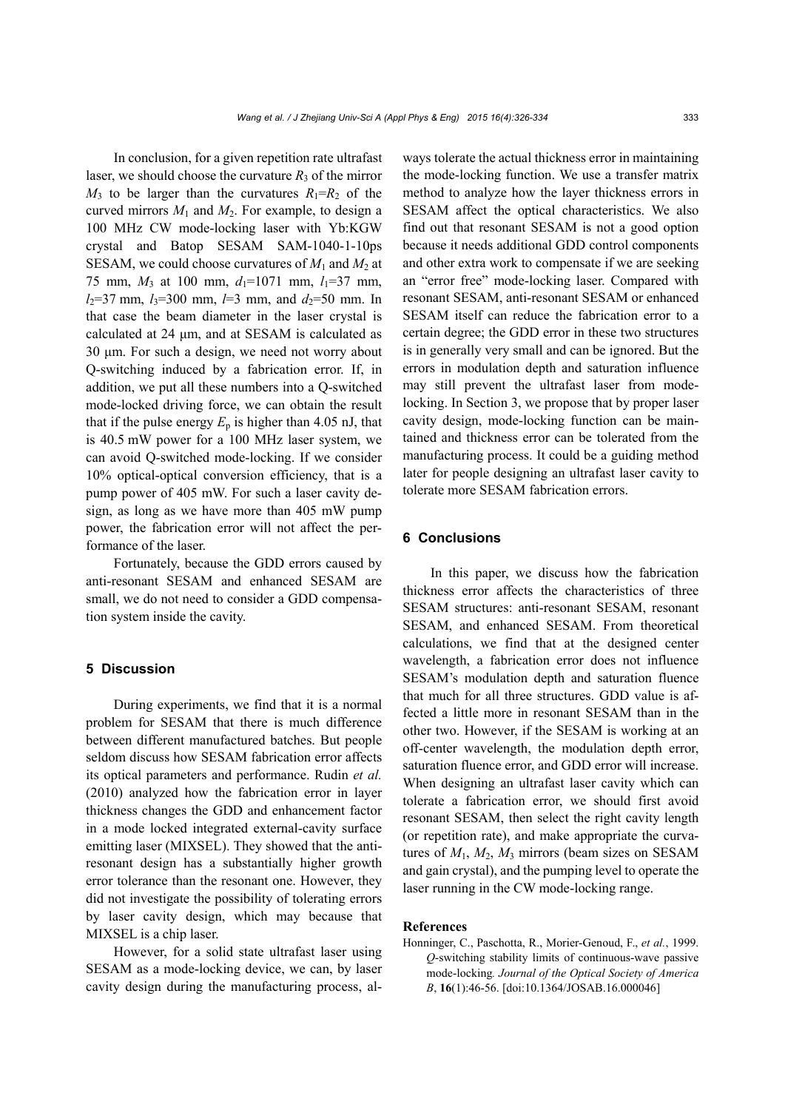In conclusion, for a given repetition rate ultrafast laser, we should choose the curvature  $R_3$  of the mirror  $M_3$  to be larger than the curvatures  $R_1=R_2$  of the curved mirrors  $M_1$  and  $M_2$ . For example, to design a 100 MHz CW mode-locking laser with Yb:KGW crystal and Batop SESAM SAM-1040-1-10ps SESAM, we could choose curvatures of  $M_1$  and  $M_2$  at 75 mm,  $M_3$  at 100 mm,  $d_1=1071$  mm,  $l_1=37$  mm,  $l_2$ =37 mm,  $l_3$ =300 mm,  $l=3$  mm, and  $d_2$ =50 mm. In that case the beam diameter in the laser crystal is calculated at 24 μm, and at SESAM is calculated as 30 μm. For such a design, we need not worry about Q-switching induced by a fabrication error. If, in addition, we put all these numbers into a Q-switched mode-locked driving force, we can obtain the result that if the pulse energy  $E_p$  is higher than 4.05 nJ, that is 40.5 mW power for a 100 MHz laser system, we can avoid Q-switched mode-locking. If we consider 10% optical-optical conversion efficiency, that is a pump power of 405 mW. For such a laser cavity design, as long as we have more than 405 mW pump power, the fabrication error will not affect the performance of the laser.

Fortunately, because the GDD errors caused by anti-resonant SESAM and enhanced SESAM are small, we do not need to consider a GDD compensation system inside the cavity.

## **5 Discussion**

During experiments, we find that it is a normal problem for SESAM that there is much difference between different manufactured batches. But people seldom discuss how SESAM fabrication error affects its optical parameters and performance. Rudin *et al.* (2010) analyzed how the fabrication error in layer thickness changes the GDD and enhancement factor in a mode locked integrated external-cavity surface emitting laser (MIXSEL). They showed that the antiresonant design has a substantially higher growth error tolerance than the resonant one. However, they did not investigate the possibility of tolerating errors by laser cavity design, which may because that MIXSEL is a chip laser.

However, for a solid state ultrafast laser using SESAM as a mode-locking device, we can, by laser cavity design during the manufacturing process, always tolerate the actual thickness error in maintaining the mode-locking function. We use a transfer matrix method to analyze how the layer thickness errors in SESAM affect the optical characteristics. We also find out that resonant SESAM is not a good option because it needs additional GDD control components and other extra work to compensate if we are seeking an "error free" mode-locking laser. Compared with resonant SESAM, anti-resonant SESAM or enhanced SESAM itself can reduce the fabrication error to a certain degree; the GDD error in these two structures is in generally very small and can be ignored. But the errors in modulation depth and saturation influence may still prevent the ultrafast laser from modelocking. In Section 3, we propose that by proper laser cavity design, mode-locking function can be maintained and thickness error can be tolerated from the manufacturing process. It could be a guiding method later for people designing an ultrafast laser cavity to tolerate more SESAM fabrication errors.

#### **6 Conclusions**

In this paper, we discuss how the fabrication thickness error affects the characteristics of three SESAM structures: anti-resonant SESAM, resonant SESAM, and enhanced SESAM. From theoretical calculations, we find that at the designed center wavelength, a fabrication error does not influence SESAM's modulation depth and saturation fluence that much for all three structures. GDD value is affected a little more in resonant SESAM than in the other two. However, if the SESAM is working at an off-center wavelength, the modulation depth error, saturation fluence error, and GDD error will increase. When designing an ultrafast laser cavity which can tolerate a fabrication error, we should first avoid resonant SESAM, then select the right cavity length (or repetition rate), and make appropriate the curvatures of  $M_1$ ,  $M_2$ ,  $M_3$  mirrors (beam sizes on SESAM and gain crystal), and the pumping level to operate the laser running in the CW mode-locking range.

#### **References**

Honninger, C., Paschotta, R., Morier-Genoud, F., *et al.*, 1999. *Q*-switching stability limits of continuous-wave passive mode-locking*. Journal of the Optical Society of America B*, **16**(1):46-56. [doi:10.1364/JOSAB.16.000046]